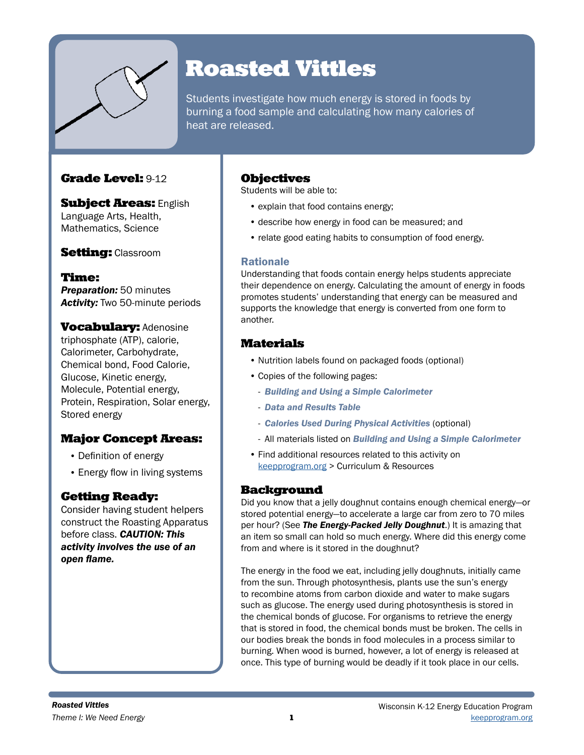

# Roasted Vittles

Students investigate how much energy is stored in foods by burning a food sample and calculating how many calories of heat are released.

# Grade Level: 9-12

**Subject Areas: English** Language Arts, Health, Mathematics, Science

**Setting: Classroom** 

Time: *Preparation:* 50 minutes *Activity:* Two 50-minute periods

**Vocabulary: Adenosine** triphosphate (ATP), calorie, Calorimeter, Carbohydrate, Chemical bond, Food Calorie, Glucose, Kinetic energy, Molecule, Potential energy, Protein, Respiration, Solar energy, Stored energy

# Major Concept Areas:

- Definition of energy
- Energy flow in living systems

# Getting Ready:

Consider having student helpers construct the Roasting Apparatus before class. *CAUTION: This activity involves the use of an open flame.*

## **Objectives**

Students will be able to:

- explain that food contains energy;
- describe how energy in food can be measured; and
- relate good eating habits to consumption of food energy.

### Rationale

Understanding that foods contain energy helps students appreciate their dependence on energy. Calculating the amount of energy in foods promotes students' understanding that energy can be measured and supports the knowledge that energy is converted from one form to another.

## Materials

- Nutrition labels found on packaged foods (optional)
- Copies of the following pages:
	- *Building and Using a Simple Calorimeter*
	- *Data and Results Table*
	- *Calories Used During Physical Activities* (optional)
	- All materials listed on *Building and Using a Simple Calorimeter*
- Find additional resources related to this activity on [keepprogram.org](http://keepprogram.org) > Curriculum & Resources

### **Background**

Did you know that a jelly doughnut contains enough chemical energy—or stored potential energy—to accelerate a large car from zero to 70 miles per hour? (See *The Energy-Packed Jelly Doughnut*.) It is amazing that an item so small can hold so much energy. Where did this energy come from and where is it stored in the doughnut?

The energy in the food we eat, including jelly doughnuts, initially came from the sun. Through photosynthesis, plants use the sun's energy to recombine atoms from carbon dioxide and water to make sugars such as glucose. The energy used during photosynthesis is stored in the chemical bonds of glucose. For organisms to retrieve the energy that is stored in food, the chemical bonds must be broken. The cells in our bodies break the bonds in food molecules in a process similar to burning. When wood is burned, however, a lot of energy is released at once. This type of burning would be deadly if it took place in our cells.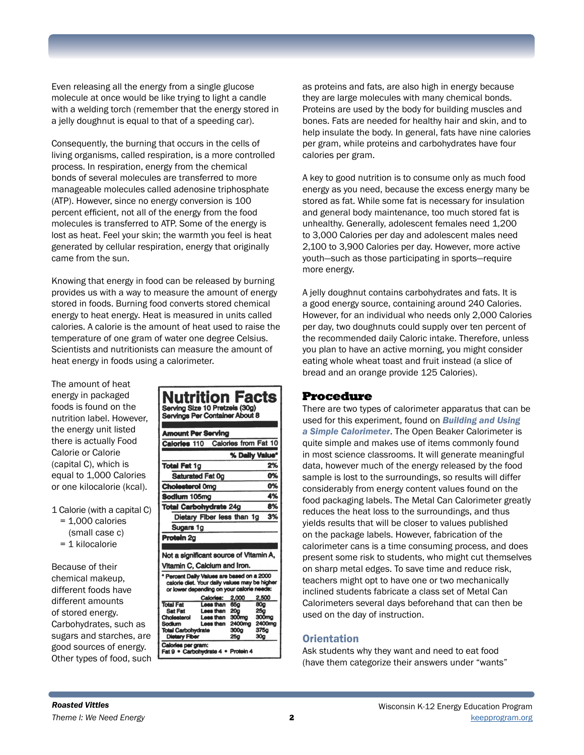Even releasing all the energy from a single glucose molecule at once would be like trying to light a candle with a welding torch (remember that the energy stored in a jelly doughnut is equal to that of a speeding car).

Consequently, the burning that occurs in the cells of living organisms, called respiration, is a more controlled process. In respiration, energy from the chemical bonds of several molecules are transferred to more manageable molecules called adenosine triphosphate (ATP). However, since no energy conversion is 100 percent efficient, not all of the energy from the food molecules is transferred to ATP. Some of the energy is lost as heat. Feel your skin; the warmth you feel is heat generated by cellular respiration, energy that originally came from the sun.

Knowing that energy in food can be released by burning provides us with a way to measure the amount of energy stored in foods. Burning food converts stored chemical energy to heat energy. Heat is measured in units called calories. A calorie is the amount of heat used to raise the temperature of one gram of water one degree Celsius. Scientists and nutritionists can measure the amount of heat energy in foods using a calorimeter.

The amount of heat energy in packaged foods is found on the nutrition label. However, the energy unit listed there is actually Food Calorie or Calorie (capital C), which is equal to 1,000 Calories or one kilocalorie (kcal).

- 1 Calorie (with a capital C)
	- = 1,000 calories
	- (small case c)
	- = 1 kilocalorie

Because of their chemical makeup, different foods have different amounts of stored energy. Carbohydrates, such as sugars and starches, are good sources of energy. Other types of food, such

| Nutrition Facts<br>Serving Size 10 Pretzels (30g)<br><b>Servings Per Container About 8</b>                                                                              |  |  |
|-------------------------------------------------------------------------------------------------------------------------------------------------------------------------|--|--|
| <b>Amount Per Serving</b>                                                                                                                                               |  |  |
| Calories from Fat 10<br>Calories 110                                                                                                                                    |  |  |
| % Daily Value*                                                                                                                                                          |  |  |
| <b>Total Fat 1g</b><br>2%                                                                                                                                               |  |  |
| 0%<br>Saturated Fat Og                                                                                                                                                  |  |  |
| 0%<br><b>Cholesterol 0mg</b>                                                                                                                                            |  |  |
| 4%<br>Sodium 105mg                                                                                                                                                      |  |  |
| 8%<br><b>Total Carbohydrate 24g</b>                                                                                                                                     |  |  |
| 3%<br>Dietary Fiber less than 1g                                                                                                                                        |  |  |
| Sugars 1g                                                                                                                                                               |  |  |
| Protoin <sub>2g</sub>                                                                                                                                                   |  |  |
|                                                                                                                                                                         |  |  |
| Not a significant source of Vitamin A,                                                                                                                                  |  |  |
| Vitamin C, Calcium and Iron.                                                                                                                                            |  |  |
| * Percent Daily Values are based on a 2000<br>calorie diet. Your daily values may be higher<br>or lower depending on your calorie needs:<br>Calories:<br>2.000<br>2,500 |  |  |
| <b>Total Fat</b><br>Less than<br>65g<br>80g                                                                                                                             |  |  |
| <b>Sat Fat</b><br>Less than<br><b>20a</b><br>26a                                                                                                                        |  |  |
| Leas than<br>300mg<br>Cholesterol<br>300mg<br>2400mg<br>Less than                                                                                                       |  |  |
| 2400mg<br>Sodium<br>375a<br><b>Total Carbohydrate</b><br>300a                                                                                                           |  |  |
| 30a<br><b>Dietary Fiber</b><br>25a                                                                                                                                      |  |  |
| Calories per gram:<br>Fat 9 · Carbohydrate 4 · Protein 4                                                                                                                |  |  |

as proteins and fats, are also high in energy because they are large molecules with many chemical bonds. Proteins are used by the body for building muscles and bones. Fats are needed for healthy hair and skin, and to help insulate the body. In general, fats have nine calories per gram, while proteins and carbohydrates have four calories per gram.

A key to good nutrition is to consume only as much food energy as you need, because the excess energy many be stored as fat. While some fat is necessary for insulation and general body maintenance, too much stored fat is unhealthy. Generally, adolescent females need 1,200 to 3,000 Calories per day and adolescent males need 2,100 to 3,900 Calories per day. However, more active youth—such as those participating in sports—require more energy.

A jelly doughnut contains carbohydrates and fats. It is a good energy source, containing around 240 Calories. However, for an individual who needs only 2,000 Calories per day, two doughnuts could supply over ten percent of the recommended daily Caloric intake. Therefore, unless you plan to have an active morning, you might consider eating whole wheat toast and fruit instead (a slice of bread and an orange provide 125 Calories).

### Procedure

There are two types of calorimeter apparatus that can be used for this experiment, found on *Building and Using a Simple Calorimeter*. The Open Beaker Calorimeter is quite simple and makes use of items commonly found in most science classrooms. It will generate meaningful data, however much of the energy released by the food sample is lost to the surroundings, so results will differ considerably from energy content values found on the food packaging labels. The Metal Can Calorimeter greatly reduces the heat loss to the surroundings, and thus yields results that will be closer to values published on the package labels. However, fabrication of the calorimeter cans is a time consuming process, and does present some risk to students, who might cut themselves on sharp metal edges. To save time and reduce risk, teachers might opt to have one or two mechanically inclined students fabricate a class set of Metal Can Calorimeters several days beforehand that can then be used on the day of instruction.

### **Orientation**

Ask students why they want and need to eat food (have them categorize their answers under "wants"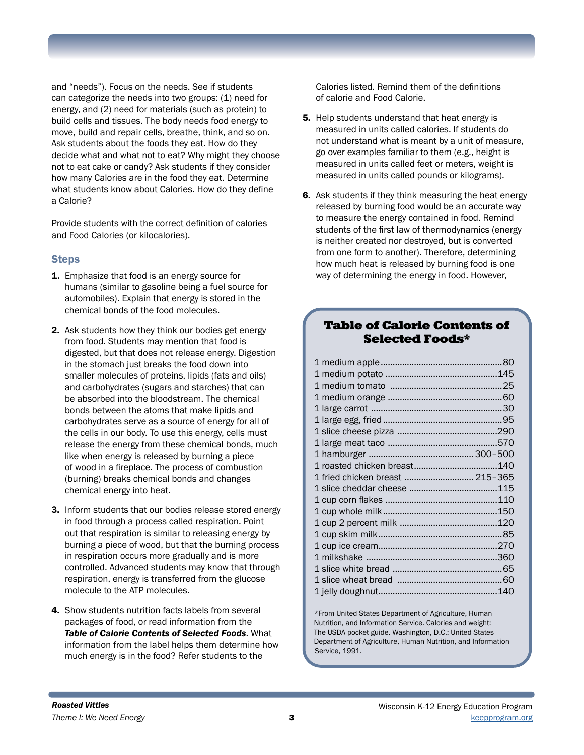and "needs"). Focus on the needs. See if students can categorize the needs into two groups: (1) need for energy, and (2) need for materials (such as protein) to build cells and tissues. The body needs food energy to move, build and repair cells, breathe, think, and so on. Ask students about the foods they eat. How do they decide what and what not to eat? Why might they choose not to eat cake or candy? Ask students if they consider how many Calories are in the food they eat. Determine what students know about Calories. How do they define a Calorie?

Provide students with the correct definition of calories and Food Calories (or kilocalories).

### Steps

- 1. Emphasize that food is an energy source for humans (similar to gasoline being a fuel source for automobiles). Explain that energy is stored in the chemical bonds of the food molecules.
- 2. Ask students how they think our bodies get energy from food. Students may mention that food is digested, but that does not release energy. Digestion in the stomach just breaks the food down into smaller molecules of proteins, lipids (fats and oils) and carbohydrates (sugars and starches) that can be absorbed into the bloodstream. The chemical bonds between the atoms that make lipids and carbohydrates serve as a source of energy for all of the cells in our body. To use this energy, cells must release the energy from these chemical bonds, much like when energy is released by burning a piece of wood in a fireplace. The process of combustion (burning) breaks chemical bonds and changes chemical energy into heat.
- 3. Inform students that our bodies release stored energy in food through a process called respiration. Point out that respiration is similar to releasing energy by burning a piece of wood, but that the burning process in respiration occurs more gradually and is more controlled. Advanced students may know that through respiration, energy is transferred from the glucose molecule to the ATP molecules.
- 4. Show students nutrition facts labels from several packages of food, or read information from the *Table of Calorie Contents of Selected Foods*. What information from the label helps them determine how much energy is in the food? Refer students to the

Calories listed. Remind them of the definitions of calorie and Food Calorie.

- **5.** Help students understand that heat energy is measured in units called calories. If students do not understand what is meant by a unit of measure, go over examples familiar to them (e.g., height is measured in units called feet or meters, weight is measured in units called pounds or kilograms).
- 6. Ask students if they think measuring the heat energy released by burning food would be an accurate way to measure the energy contained in food. Remind students of the first law of thermodynamics (energy is neither created nor destroyed, but is converted from one form to another). Therefore, determining how much heat is released by burning food is one way of determining the energy in food. However,

## Table of Calorie Contents of Selected Foods\*

|                                 | 140 |
|---------------------------------|-----|
| 1 fried chicken breast  215–365 |     |
|                                 |     |
|                                 |     |
|                                 |     |
|                                 |     |
|                                 |     |
|                                 |     |
|                                 |     |
|                                 |     |
|                                 |     |
|                                 |     |

\*From United States Department of Agriculture, Human Nutrition, and Information Service. Calories and weight: The USDA pocket guide. Washington, D.C.: United States Department of Agriculture, Human Nutrition, and Information Service, 1991.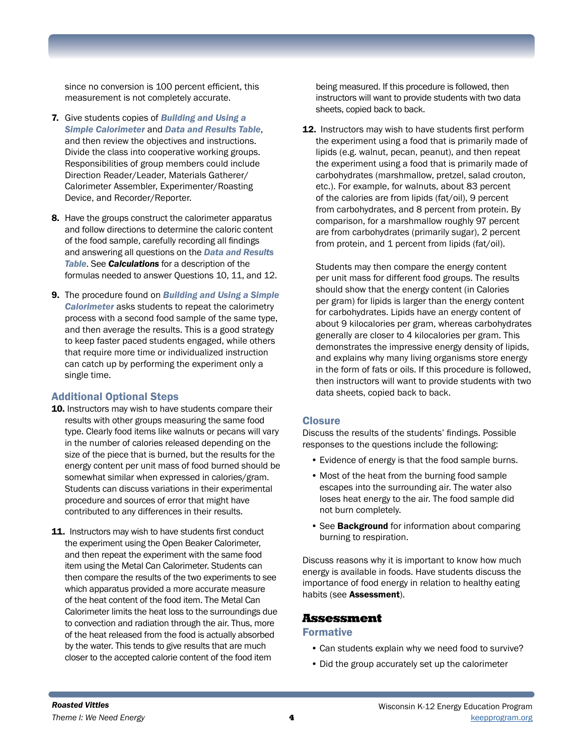since no conversion is 100 percent efficient, this measurement is not completely accurate.

- 7. Give students copies of *Building and Using a Simple Calorimeter* and *Data and Results Table*, and then review the objectives and instructions. Divide the class into cooperative working groups. Responsibilities of group members could include Direction Reader/Leader, Materials Gatherer/ Calorimeter Assembler, Experimenter/Roasting Device, and Recorder/Reporter.
- 8. Have the groups construct the calorimeter apparatus and follow directions to determine the caloric content of the food sample, carefully recording all findings and answering all questions on the *Data and Results Table*. See *Calculations* for a description of the formulas needed to answer Questions 10, 11, and 12.
- 9. The procedure found on *Building and Using a Simple Calorimeter* asks students to repeat the calorimetry process with a second food sample of the same type, and then average the results. This is a good strategy to keep faster paced students engaged, while others that require more time or individualized instruction can catch up by performing the experiment only a single time.

### Additional Optional Steps

- 10. Instructors may wish to have students compare their results with other groups measuring the same food type. Clearly food items like walnuts or pecans will vary in the number of calories released depending on the size of the piece that is burned, but the results for the energy content per unit mass of food burned should be somewhat similar when expressed in calories/gram. Students can discuss variations in their experimental procedure and sources of error that might have contributed to any differences in their results.
- 11. Instructors may wish to have students first conduct the experiment using the Open Beaker Calorimeter, and then repeat the experiment with the same food item using the Metal Can Calorimeter. Students can then compare the results of the two experiments to see which apparatus provided a more accurate measure of the heat content of the food item. The Metal Can Calorimeter limits the heat loss to the surroundings due to convection and radiation through the air. Thus, more of the heat released from the food is actually absorbed by the water. This tends to give results that are much closer to the accepted calorie content of the food item

being measured. If this procedure is followed, then instructors will want to provide students with two data sheets, copied back to back.

12. Instructors may wish to have students first perform the experiment using a food that is primarily made of lipids (e.g. walnut, pecan, peanut), and then repeat the experiment using a food that is primarily made of carbohydrates (marshmallow, pretzel, salad crouton, etc.). For example, for walnuts, about 83 percent of the calories are from lipids (fat/oil), 9 percent from carbohydrates, and 8 percent from protein. By comparison, for a marshmallow roughly 97 percent are from carbohydrates (primarily sugar), 2 percent from protein, and 1 percent from lipids (fat/oil).

Students may then compare the energy content per unit mass for different food groups. The results should show that the energy content (in Calories per gram) for lipids is larger than the energy content for carbohydrates. Lipids have an energy content of about 9 kilocalories per gram, whereas carbohydrates generally are closer to 4 kilocalories per gram. This demonstrates the impressive energy density of lipids, and explains why many living organisms store energy in the form of fats or oils. If this procedure is followed, then instructors will want to provide students with two data sheets, copied back to back.

### **Closure**

Discuss the results of the students' findings. Possible responses to the questions include the following:

- Evidence of energy is that the food sample burns.
- Most of the heat from the burning food sample escapes into the surrounding air. The water also loses heat energy to the air. The food sample did not burn completely.
- See **Background** for information about comparing burning to respiration.

Discuss reasons why it is important to know how much energy is available in foods. Have students discuss the importance of food energy in relation to healthy eating habits (see Assessment).

### Assessment

#### **Formative**

- Can students explain why we need food to survive?
- Did the group accurately set up the calorimeter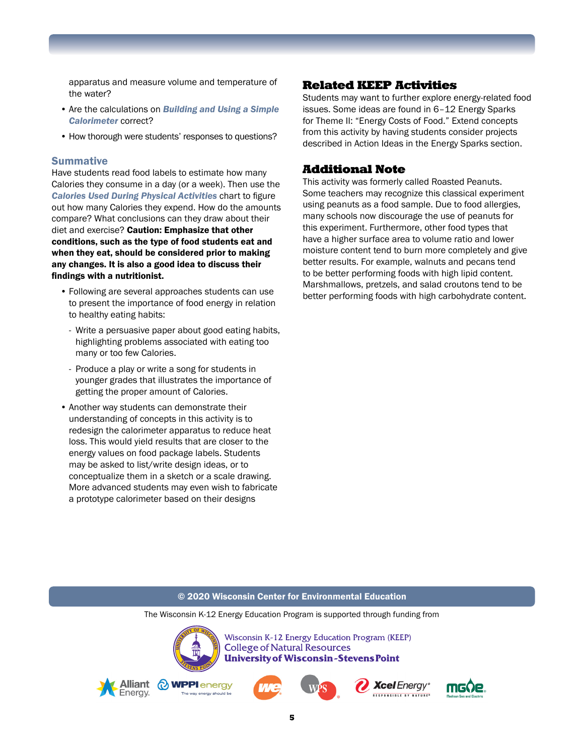apparatus and measure volume and temperature of the water?

- Are the calculations on *Building and Using a Simple Calorimeter* correct?
- How thorough were students' responses to questions?

#### **Summative**

Have students read food labels to estimate how many Calories they consume in a day (or a week). Then use the *Calories Used During Physical Activities* chart to figure out how many Calories they expend. How do the amounts compare? What conclusions can they draw about their diet and exercise? Caution: Emphasize that other conditions, such as the type of food students eat and when they eat, should be considered prior to making any changes. It is also a good idea to discuss their findings with a nutritionist.

- Following are several approaches students can use to present the importance of food energy in relation to healthy eating habits:
	- Write a persuasive paper about good eating habits, highlighting problems associated with eating too many or too few Calories.
	- Produce a play or write a song for students in younger grades that illustrates the importance of getting the proper amount of Calories.
- Another way students can demonstrate their understanding of concepts in this activity is to redesign the calorimeter apparatus to reduce heat loss. This would yield results that are closer to the energy values on food package labels. Students may be asked to list/write design ideas, or to conceptualize them in a sketch or a scale drawing. More advanced students may even wish to fabricate a prototype calorimeter based on their designs

### Related KEEP Activities

Students may want to further explore energy-related food issues. Some ideas are found in 6–12 Energy Sparks for Theme II: "Energy Costs of Food." Extend concepts from this activity by having students consider projects described in Action Ideas in the Energy Sparks section.

### Additional Note

This activity was formerly called Roasted Peanuts. Some teachers may recognize this classical experiment using peanuts as a food sample. Due to food allergies, many schools now discourage the use of peanuts for this experiment. Furthermore, other food types that have a higher surface area to volume ratio and lower moisture content tend to burn more completely and give better results. For example, walnuts and pecans tend to be better performing foods with high lipid content. Marshmallows, pretzels, and salad croutons tend to be better performing foods with high carbohydrate content.

#### © 2020 Wisconsin Center for Environmental Education

The Wisconsin K-12 Energy Education Program is supported through funding from

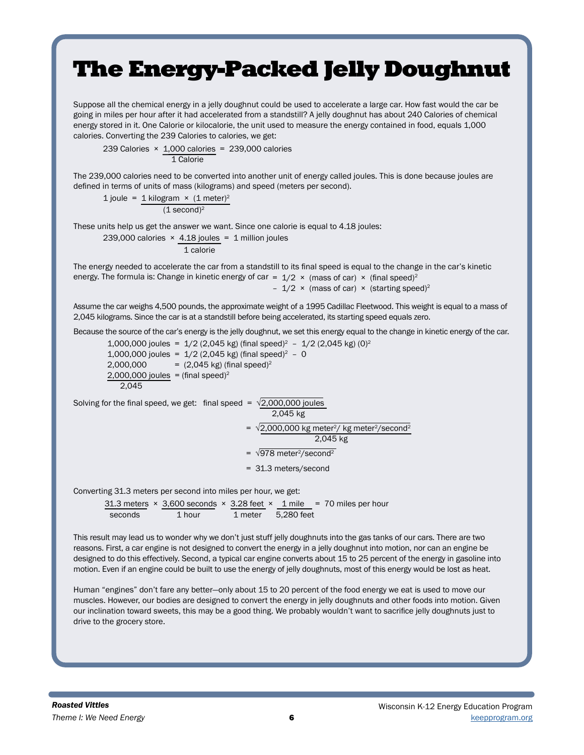# The Energy-Packed Jelly Doughnut

Suppose all the chemical energy in a jelly doughnut could be used to accelerate a large car. How fast would the car be going in miles per hour after it had accelerated from a standstill? A jelly doughnut has about 240 Calories of chemical energy stored in it. One Calorie or kilocalorie, the unit used to measure the energy contained in food, equals 1,000 calories. Converting the 239 Calories to calories, we get:

239 Calories  $\times$  1,000 calories = 239,000 calories 1 Calorie

The 239,000 calories need to be converted into another unit of energy called joules. This is done because joules are defined in terms of units of mass (kilograms) and speed (meters per second).

1 joule = 1 kilogram  $\times$  (1 meter)<sup>2</sup>  $(1$  second)<sup>2</sup>

These units help us get the answer we want. Since one calorie is equal to 4.18 joules:

239,000 calories 
$$
\times
$$
 4.18 joules = 1 million joules  
1 calcorie

The energy needed to accelerate the car from a standstill to its final speed is equal to the change in the car's kinetic energy. The formula is: Change in kinetic energy of car =  $1/2 \times$  (mass of car)  $\times$  (final speed)<sup>2</sup> -  $1/2 \times$  (mass of car)  $\times$  (starting speed)<sup>2</sup>

Assume the car weighs 4,500 pounds, the approximate weight of a 1995 Cadillac Fleetwood. This weight is equal to a mass of 2,045 kilograms. Since the car is at a standstill before being accelerated, its starting speed equals zero.

Because the source of the car's energy is the jelly doughnut, we set this energy equal to the change in kinetic energy of the car.

1,000,000 joules =  $1/2$  (2,045 kg) (final speed)<sup>2</sup> -  $1/2$  (2,045 kg) (0)<sup>2</sup> 1,000,000 joules =  $1/2$  (2,045 kg) (final speed)<sup>2</sup> - 0 2,000,000 =  $(2,045 \text{ kg})$  (final speed)<sup>2</sup> 2,000,000 joules = (final speed)<sup>2</sup> 2,045

Solving for the final speed, we get: final speed =  $\sqrt{2,000,000}$  joules

$$
2,045 \text{ kg}
$$

- =  $\sqrt{2,000,000}$  kg meter<sup>2</sup>/ kg meter<sup>2</sup>/second<sup>2</sup> 2,045 kg
- $= \sqrt{978 \text{ meter}^2/\text{second}^2}$
- = 31.3 meters/second

Converting 31.3 meters per second into miles per hour, we get:

31.3 meters  $\times$  3,600 seconds  $\times$  3.28 feet  $\times$  1 mile = 70 miles per hour seconds 1 hour 1 meter 5,280 feet

This result may lead us to wonder why we don't just stuff jelly doughnuts into the gas tanks of our cars. There are two reasons. First, a car engine is not designed to convert the energy in a jelly doughnut into motion, nor can an engine be designed to do this effectively. Second, a typical car engine converts about 15 to 25 percent of the energy in gasoline into motion. Even if an engine could be built to use the energy of jelly doughnuts, most of this energy would be lost as heat.

Human "engines" don't fare any better—only about 15 to 20 percent of the food energy we eat is used to move our muscles. However, our bodies are designed to convert the energy in jelly doughnuts and other foods into motion. Given our inclination toward sweets, this may be a good thing. We probably wouldn't want to sacrifice jelly doughnuts just to drive to the grocery store.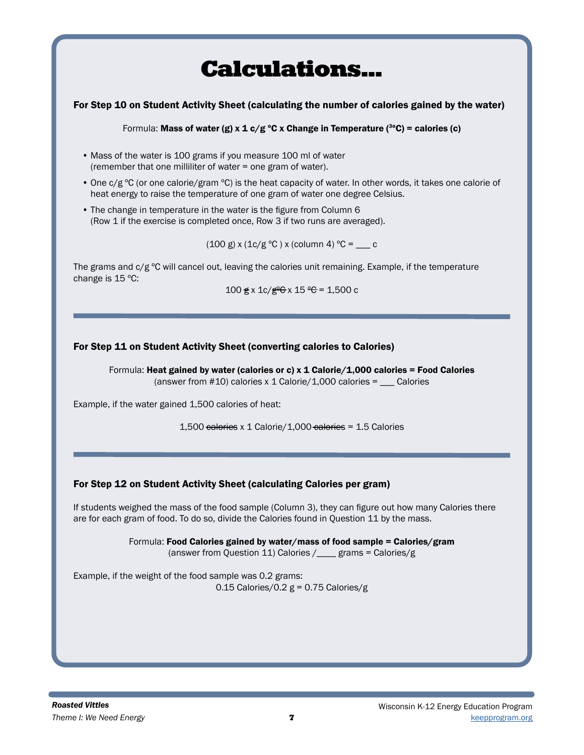# Calculations...

### For Step 10 on Student Activity Sheet (calculating the number of calories gained by the water)

Formula: Mass of water (g) x 1 c/g °C x Change in Temperature (<sup>3</sup>°C) = calories (c)

- Mass of the water is 100 grams if you measure 100 ml of water (remember that one milliliter of water = one gram of water).
- One c/g ºC (or one calorie/gram ºC) is the heat capacity of water. In other words, it takes one calorie of heat energy to raise the temperature of one gram of water one degree Celsius.
- The change in temperature in the water is the figure from Column 6 (Row 1 if the exercise is completed once, Row 3 if two runs are averaged).

 $(100 \text{ g}) \times (1 \text{c/g} \text{ }^{\circ}\text{C}) \times ($ column 4)  $\text{ }^{\circ}\text{C} =$  c

The grams and  $c/g$  °C will cancel out, leaving the calories unit remaining. Example, if the temperature change is 15 ºC:

 $100 \le x \frac{1}{2}e \le x \frac{15}{9} = 1,500$  c

### For Step 11 on Student Activity Sheet (converting calories to Calories)

Formula: Heat gained by water (calories or c)  $x$  1 Calorie/1,000 calories = Food Calories (answer from  $#10$ ) calories x 1 Calorie/1,000 calories =  $\_\_\_\_$ Calories

Example, if the water gained 1,500 calories of heat:

1,500 calories x 1 Calorie/1,000 calories = 1.5 Calories

### For Step 12 on Student Activity Sheet (calculating Calories per gram)

If students weighed the mass of the food sample (Column 3), they can figure out how many Calories there are for each gram of food. To do so, divide the Calories found in Question 11 by the mass.

> Formula: Food Calories gained by water/mass of food sample = Calories/gram (answer from Question 11) Calories /\_\_\_\_ grams = Calories/g

Example, if the weight of the food sample was 0.2 grams: 0.15 Calories/0.2  $g = 0.75$  Calories/g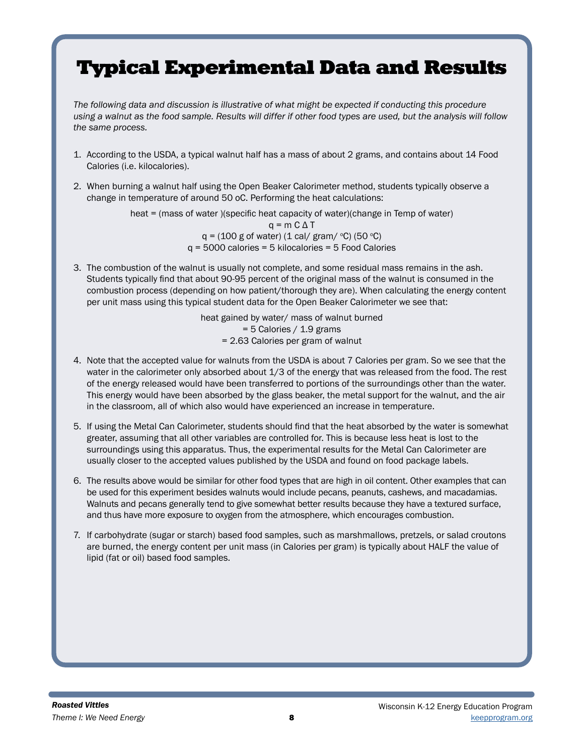# Typical Experimental Data and Results

*The following data and discussion is illustrative of what might be expected if conducting this procedure using a walnut as the food sample. Results will differ if other food types are used, but the analysis will follow the same process.*

- 1. According to the USDA, a typical walnut half has a mass of about 2 grams, and contains about 14 Food Calories (i.e. kilocalories).
- 2. When burning a walnut half using the Open Beaker Calorimeter method, students typically observe a change in temperature of around 50 oC. Performing the heat calculations:

heat = (mass of water )(specific heat capacity of water)(change in Temp of water)  $q = m C \Delta T$  $q = (100 \text{ g of water}) (1 \text{ cal/ gram} / \text{°C}) (50 \text{°C})$  $q = 5000$  calories = 5 kilocalories = 5 Food Calories

3. The combustion of the walnut is usually not complete, and some residual mass remains in the ash. Students typically find that about 90-95 percent of the original mass of the walnut is consumed in the combustion process (depending on how patient/thorough they are). When calculating the energy content per unit mass using this typical student data for the Open Beaker Calorimeter we see that:

> heat gained by water/ mass of walnut burned = 5 Calories / 1.9 grams = 2.63 Calories per gram of walnut

- 4. Note that the accepted value for walnuts from the USDA is about 7 Calories per gram. So we see that the water in the calorimeter only absorbed about 1/3 of the energy that was released from the food. The rest of the energy released would have been transferred to portions of the surroundings other than the water. This energy would have been absorbed by the glass beaker, the metal support for the walnut, and the air in the classroom, all of which also would have experienced an increase in temperature.
- 5. If using the Metal Can Calorimeter, students should find that the heat absorbed by the water is somewhat greater, assuming that all other variables are controlled for. This is because less heat is lost to the surroundings using this apparatus. Thus, the experimental results for the Metal Can Calorimeter are usually closer to the accepted values published by the USDA and found on food package labels.
- 6. The results above would be similar for other food types that are high in oil content. Other examples that can be used for this experiment besides walnuts would include pecans, peanuts, cashews, and macadamias. Walnuts and pecans generally tend to give somewhat better results because they have a textured surface, and thus have more exposure to oxygen from the atmosphere, which encourages combustion.
- 7. If carbohydrate (sugar or starch) based food samples, such as marshmallows, pretzels, or salad croutons are burned, the energy content per unit mass (in Calories per gram) is typically about HALF the value of lipid (fat or oil) based food samples.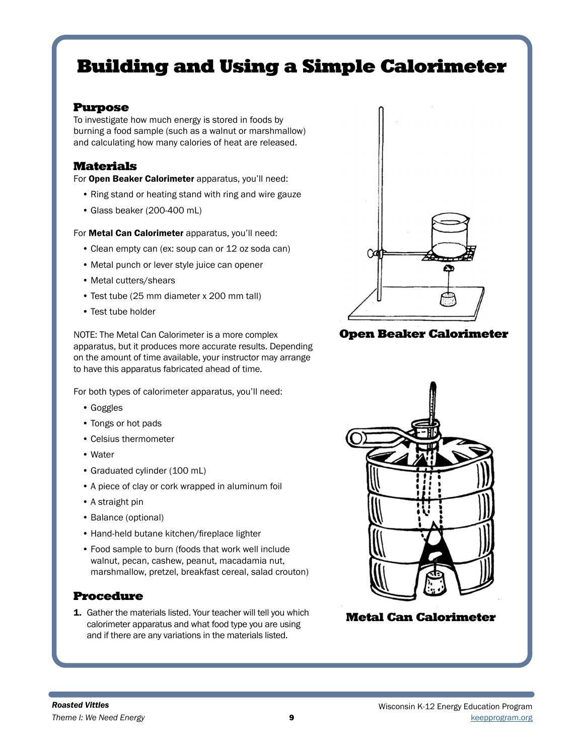# Building and Using a Simple Calorimeter

### Purpose

To investigate how much energy is stored in foods by burning a food sample (such as a walnut or marshmallow) and calculating how many calories of heat are released.

### Materials

For Open Beaker Calorimeter apparatus, you'll need:

- Ring stand or heating stand with ring and wire gauze
- Glass beaker (200-400 mL)

For Metal Can Calorimeter apparatus, you'll need:

- Clean empty can (ex: soup can or 12 oz soda can)
- Metal punch or lever style juice can opener
- Metal cutters/shears
- Test tube (25 mm diameter x 200 mm tall)
- Test tube holder

NOTE: The Metal Can Calorimeter is a more complex apparatus, but it produces more accurate results. Depending on the amount of time available, your instructor may arrange to have this apparatus fabricated ahead of time.

For both types of calorimeter apparatus, you'll need:

- Goggles
- Tongs or hot pads
- Celsius thermometer
- Water
- Graduated cylinder (100 mL)
- A piece of clay or cork wrapped in aluminum foil
- A straight pin
- Balance (optional)
- Hand-held butane kitchen/fireplace lighter
- Food sample to burn (foods that work well include walnut, pecan, cashew, peanut, macadamia nut, marshmallow, pretzel, breakfast cereal, salad crouton)

### Procedure

1. Gather the materials listed. Your teacher will tell you which calorimeter apparatus and what food type you are using and if there are any variations in the materials listed.



Open Beaker Calorimeter



Metal Can Calorimeter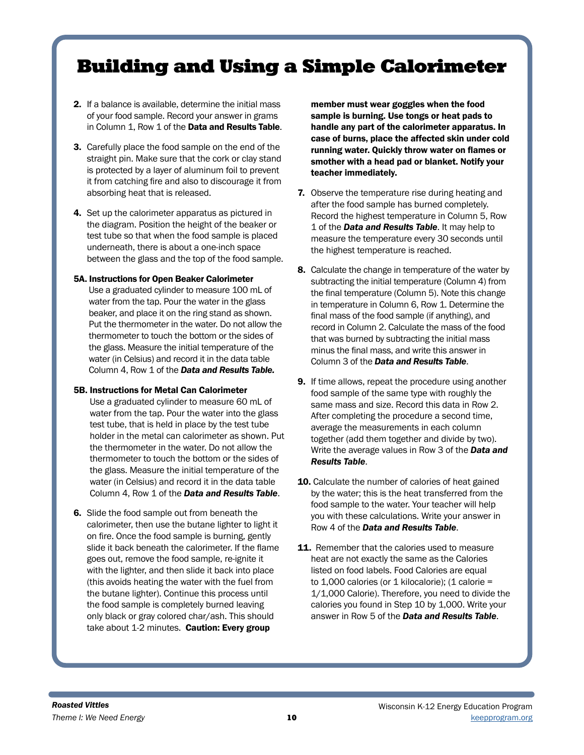# Building and Using a Simple Calorimeter

- 2. If a balance is available, determine the initial mass of your food sample. Record your answer in grams in Column 1, Row 1 of the Data and Results Table.
- 3. Carefully place the food sample on the end of the straight pin. Make sure that the cork or clay stand is protected by a layer of aluminum foil to prevent it from catching fire and also to discourage it from absorbing heat that is released.
- 4. Set up the calorimeter apparatus as pictured in the diagram. Position the height of the beaker or test tube so that when the food sample is placed underneath, there is about a one-inch space between the glass and the top of the food sample.

#### 5A. Instructions for Open Beaker Calorimeter

Use a graduated cylinder to measure 100 mL of water from the tap. Pour the water in the glass beaker, and place it on the ring stand as shown. Put the thermometer in the water. Do not allow the thermometer to touch the bottom or the sides of the glass. Measure the initial temperature of the water (in Celsius) and record it in the data table Column 4, Row 1 of the *Data and Results Table.*

#### 5B. Instructions for Metal Can Calorimeter

- Use a graduated cylinder to measure 60 mL of water from the tap. Pour the water into the glass test tube, that is held in place by the test tube holder in the metal can calorimeter as shown. Put the thermometer in the water. Do not allow the thermometer to touch the bottom or the sides of the glass. Measure the initial temperature of the water (in Celsius) and record it in the data table Column 4, Row 1 of the *Data and Results Table*.
- 6. Slide the food sample out from beneath the calorimeter, then use the butane lighter to light it on fire. Once the food sample is burning, gently slide it back beneath the calorimeter. If the flame goes out, remove the food sample, re-ignite it with the lighter, and then slide it back into place (this avoids heating the water with the fuel from the butane lighter). Continue this process until the food sample is completely burned leaving only black or gray colored char/ash. This should take about 1-2 minutes. Caution: Every group

member must wear goggles when the food sample is burning. Use tongs or heat pads to handle any part of the calorimeter apparatus. In case of burns, place the affected skin under cold running water. Quickly throw water on flames or smother with a head pad or blanket. Notify your teacher immediately.

- **7.** Observe the temperature rise during heating and after the food sample has burned completely. Record the highest temperature in Column 5, Row 1 of the *Data and Results Table*. It may help to measure the temperature every 30 seconds until the highest temperature is reached.
- 8. Calculate the change in temperature of the water by subtracting the initial temperature (Column 4) from the final temperature (Column 5). Note this change in temperature in Column 6, Row 1. Determine the final mass of the food sample (if anything), and record in Column 2. Calculate the mass of the food that was burned by subtracting the initial mass minus the final mass, and write this answer in Column 3 of the *Data and Results Table*.
- 9. If time allows, repeat the procedure using another food sample of the same type with roughly the same mass and size. Record this data in Row 2. After completing the procedure a second time, average the measurements in each column together (add them together and divide by two). Write the average values in Row 3 of the *Data and Results Table*.
- 10. Calculate the number of calories of heat gained by the water; this is the heat transferred from the food sample to the water. Your teacher will help you with these calculations. Write your answer in Row 4 of the *Data and Results Table*.
- 11. Remember that the calories used to measure heat are not exactly the same as the Calories listed on food labels. Food Calories are equal to  $1,000$  calories (or  $1$  kilocalorie); (1 calorie = 1/1,000 Calorie). Therefore, you need to divide the calories you found in Step 10 by 1,000. Write your answer in Row 5 of the *Data and Results Table*.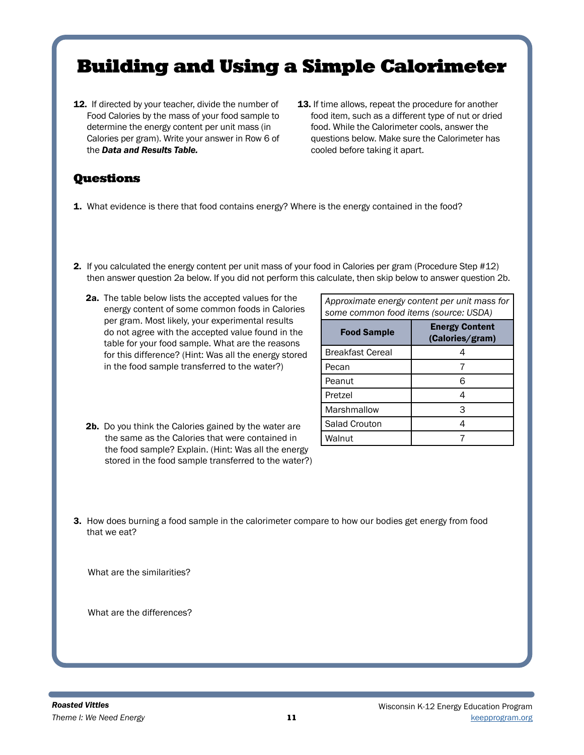# Building and Using a Simple Calorimeter

- 12. If directed by your teacher, divide the number of Food Calories by the mass of your food sample to determine the energy content per unit mass (in Calories per gram). Write your answer in Row 6 of the *Data and Results Table.*
- 13. If time allows, repeat the procedure for another food item, such as a different type of nut or dried food. While the Calorimeter cools, answer the questions below. Make sure the Calorimeter has cooled before taking it apart.

# Questions

- **1.** What evidence is there that food contains energy? Where is the energy contained in the food?
- 2. If you calculated the energy content per unit mass of your food in Calories per gram (Procedure Step #12) then answer question 2a below. If you did not perform this calculate, then skip below to answer question 2b.
	- 2a. The table below lists the accepted values for the energy content of some common foods in Calories per gram. Most likely, your experimental results do not agree with the accepted value found in the table for your food sample. What are the reasons for this difference? (Hint: Was all the energy stored in the food sample transferred to the water?)

*Approximate energy content per unit mass for some common food items (source: USDA)*

| <b>Food Sample</b>      | <b>Energy Content</b><br>(Calories/gram) |  |
|-------------------------|------------------------------------------|--|
| <b>Breakfast Cereal</b> |                                          |  |
| Pecan                   |                                          |  |
| Peanut                  | ิค                                       |  |
| Pretzel                 |                                          |  |
| Marshmallow             | З                                        |  |
| Salad Crouton           |                                          |  |
| Walnut                  |                                          |  |

- 2b. Do you think the Calories gained by the water are the same as the Calories that were contained in the food sample? Explain. (Hint: Was all the energy stored in the food sample transferred to the water?)
- 3. How does burning a food sample in the calorimeter compare to how our bodies get energy from food that we eat?

What are the similarities?

What are the differences?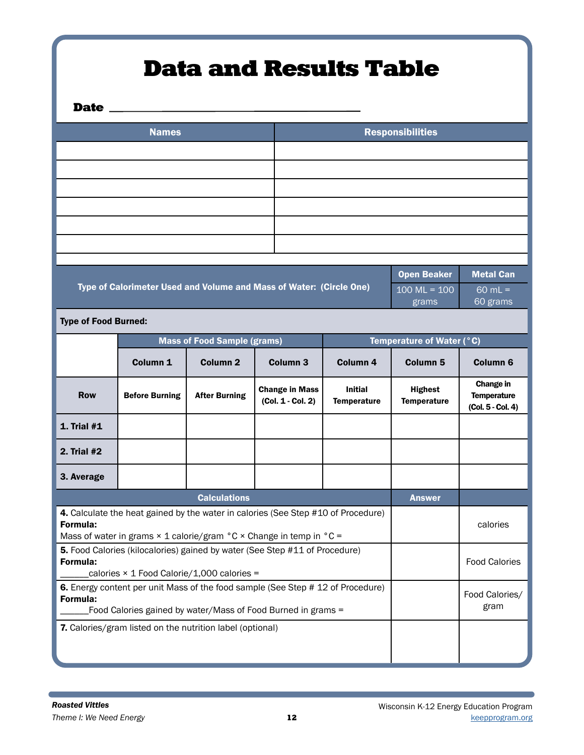# Data and Results Table

Date \_\_

| <b>Names</b> | <b>Responsibilities</b> |
|--------------|-------------------------|
|              |                         |
|              |                         |
|              |                         |
|              |                         |
|              |                         |
|              |                         |
|              |                         |

| Type of Calorimeter Used and Volume and Mass of Water: (Circle One) | <b>Open Beaker</b>              | <b>Metal Can</b>      |
|---------------------------------------------------------------------|---------------------------------|-----------------------|
|                                                                     | $100 \text{ ML} = 100$<br>grams | $60$ mL =<br>60 grams |

Type of Food Burned:

|                                                                                                                                                                                                      | <b>Mass of Food Sample (grams)</b>                        |                      | Temperature of Water (°C)                  |                                      |                                      |                                                      |
|------------------------------------------------------------------------------------------------------------------------------------------------------------------------------------------------------|-----------------------------------------------------------|----------------------|--------------------------------------------|--------------------------------------|--------------------------------------|------------------------------------------------------|
|                                                                                                                                                                                                      | Column <sub>1</sub>                                       | Column <sub>2</sub>  | Column <sub>3</sub>                        | Column <sub>4</sub>                  | Column <sub>5</sub>                  | Column <sub>6</sub>                                  |
| <b>Row</b>                                                                                                                                                                                           | <b>Before Burning</b>                                     | <b>After Burning</b> | <b>Change in Mass</b><br>(Col. 1 - Col. 2) | <b>Initial</b><br><b>Temperature</b> | <b>Highest</b><br><b>Temperature</b> | Change in<br><b>Temperature</b><br>(Col. 5 - Col. 4) |
| <b>1. Trial #1</b>                                                                                                                                                                                   |                                                           |                      |                                            |                                      |                                      |                                                      |
| 2. Trial #2                                                                                                                                                                                          |                                                           |                      |                                            |                                      |                                      |                                                      |
| 3. Average                                                                                                                                                                                           |                                                           |                      |                                            |                                      |                                      |                                                      |
| <b>Calculations</b>                                                                                                                                                                                  |                                                           |                      | <b>Answer</b>                              |                                      |                                      |                                                      |
| 4. Calculate the heat gained by the water in calories (See Step #10 of Procedure)<br>Formula:<br>Mass of water in grams $\times$ 1 calorie/gram $\degree$ C $\times$ Change in temp in $\degree$ C = |                                                           |                      |                                            | calories                             |                                      |                                                      |
| <b>5.</b> Food Calories (kilocalories) gained by water (See Step #11 of Procedure)<br>Formula:<br>calories $\times$ 1 Food Calorie/1,000 calories =                                                  |                                                           |                      |                                            | <b>Food Calories</b>                 |                                      |                                                      |
| 6. Energy content per unit Mass of the food sample (See Step # 12 of Procedure)<br>Formula:<br>Food Calories gained by water/Mass of Food Burned in grams =                                          |                                                           |                      |                                            | Food Calories/<br>gram               |                                      |                                                      |
|                                                                                                                                                                                                      | 7. Calories/gram listed on the nutrition label (optional) |                      |                                            |                                      |                                      |                                                      |